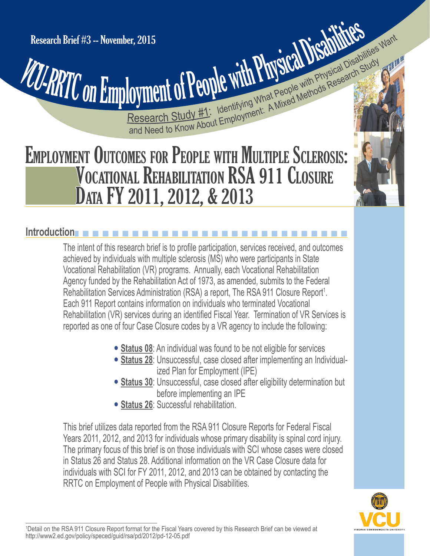Research Brief #3 -- November, 2015<br>
VCU-RRTC ON Employment of People with Physical Disabilities Research Brief #3 -- November, 2015

**Cyment of People With Physical Disable With Study (A)**<br>Research Study #1: Identifying What People with Physical Disable Study<br>and Need to Know About Employment: A Mixed Methods Research er, 2015<br> **Cyment of People with Physical Disabilities Want**<br>
Research Study #1: Identifying What People with Physical Disabilities Want

# EMPLOYMENT OUTCOMES FOR PEOPLE WITH MULTIPLE SCLEROSIS: VOCATIONAL REHABILITATION RSA 911 CLOSURE DATA FY 2011, 2012, & 2013

# **Introduction** n n n n n n n n n n n n n n n n n n n n n n n n n n n n

The intent of this research brief is to profile participation, services received, and outcomes achieved by individuals with multiple sclerosis (MS) who were participants in State Vocational Rehabilitation (VR) programs. Annually, each Vocational Rehabilitation Agency funded by the Rehabilitation Act of 1973, as amended, submits to the Federal Rehabilitation Services Administration (RSA) a report, The RSA 911 Closure Report<sup>1</sup>. Each 911 Report contains information on individuals who terminated Vocational Rehabilitation (VR) services during an identified Fiscal Year. Termination of VR Services is reported as one of four Case Closure codes by a VR agency to include the following:

- **Status 08**: An individual was found to be not eligible for services
- **Status 28**: Unsuccessful, case closed after implementing an Individualized Plan for Employment (IPE)
- **Status 30**: Unsuccessful, case closed after eligibility determination but before implementing an IPE
	- **Status 26: Successful rehabilitation.**

This brief utilizes data reported from the RSA 911 Closure Reports for Federal Fiscal Years 2011, 2012, and 2013 for individuals whose primary disability is spinal cord injury. The primary focus of this brief is on those individuals with SCI whose cases were closed in Status 26 and Status 28. Additional information on the VR Case Closure data for individuals with SCI for FY 2011, 2012, and 2013 can be obtained by contacting the RRTC on Employment of People with Physical Disabilities.



<sup>1</sup> Detail on the RSA 911 Closure Report format for the Fiscal Years covered by this Research Brief can be viewed at <http://www2.ed.gov/policy/speced/guid/rsa/pd/2012/pd-12-05.pdf>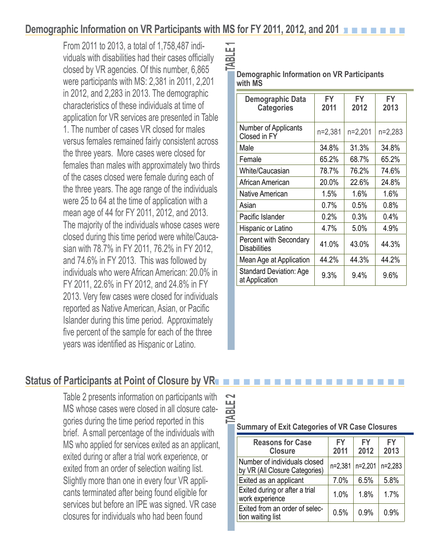# **Demographic Information on VR Participants with MS for FY 2011, 2012, and 201 n n n n n n n n n n**

From 2011 to 2013, a total of 1,758,487 individuals with disabilities had their cases officially closed by VR agencies. Of this number, 6,865 were participants with MS: 2,381 in 2011, 2,201 in 2012, and 2,283 in 2013. The demographic characteristics of these individuals at time of application for VR services are presented in Table 1. The number of cases VR closed for males versus females remained fairly consistent across the three years. More cases were closed for females than males with approximately two thirds of the cases closed were female during each of the three years. The age range of the individuals were 25 to 64 at the time of application with a mean age of 44 for FY 2011, 2012, and 2013. The majority of the individuals whose cases were closed during this time period were white/Caucasian with 78.7% in FY 2011, 76.2% in FY 2012, and 74.6% in FY 2013. This was followed by individuals who were African American: 20.0% in FY 2011, 22.6% in FY 2012, and 24.8% in FY 2013. Very few cases were closed for individuals reported as Native American, Asian, or Pacific Islander during this time period. Approximately five percent of the sample for each of the three years was identified as Hispanic or Latino.

| ш          |                                            |
|------------|--------------------------------------------|
|            |                                            |
| <b>IBL</b> |                                            |
|            |                                            |
|            |                                            |
|            | Demographic Information on VR Participants |
|            |                                            |
|            | with MS                                    |
|            |                                            |

| Demographic Data<br><b>Categories</b>            | FY<br>2011 | FY<br>2012 | FY<br>2013 |
|--------------------------------------------------|------------|------------|------------|
| Number of Applicants<br>Closed in FY             | $n=2,381$  | n=2,201    | n=2,283    |
| Male                                             | 34.8%      | 31.3%      | 34.8%      |
| Female                                           | 65.2%      | 68.7%      | 65.2%      |
| White/Caucasian                                  | 78.7%      | 76.2%      | 74.6%      |
| African American                                 | 20.0%      | 22.6%      | 24.8%      |
| Native American                                  | 1.5%       | 1.6%       | 1.6%       |
| Asian                                            | 0.7%       | 0.5%       | 0.8%       |
| Pacific Islander                                 | 0.2%       | 0.3%       | 0.4%       |
| Hispanic or Latino                               | 4.7%       | 5.0%       | 4.9%       |
| Percent with Secondary<br><b>Disabilities</b>    | 41.0%      | 43.0%      | 44.3%      |
| Mean Age at Application                          | 44.2%      | 44.3%      | 44.2%      |
| <b>Standard Deviation: Age</b><br>at Application | 9.3%       | 9.4%       | 9.6%       |

# **Status of Participants at Point of Closure by VRn n n**

Table 2 presents information on participants with MS whose cases were closed in all closure categories during the time period reported in this brief. A small percentage of the individuals with MS who applied for services exited as an applicant, exited during or after a trial work experience, or exited from an order of selection waiting list. Slightly more than one in every four VR applicants terminated after being found eligible for<br>services but before an IPE was signed. VR case<br>closures for individuals who had been found<br>tion waiting list

| $\tilde{\phantom{0}}$<br><b>TABLE</b> | <b>Summary of Exit Categories of VR Case Closures</b>          |                   |                   |            |  |
|---------------------------------------|----------------------------------------------------------------|-------------------|-------------------|------------|--|
|                                       | <b>Reasons for Case</b><br><b>Closure</b>                      | <b>FY</b><br>2011 | <b>FY</b><br>2012 | FY<br>2013 |  |
|                                       | Number of individuals closed<br>by VR (All Closure Categories) | n=2,381           | n=2,201           | $n=2,283$  |  |
|                                       | Exited as an applicant                                         | 7.0%              | 6.5%              | 5.8%       |  |
|                                       | Exited during or after a trial<br>work experience              | 1.0%              | 1.8%              | 1.7%       |  |
|                                       | Exited from an order of selec-<br>tion waiting liet            | 0.5%              | 0.9%              | 0.9%       |  |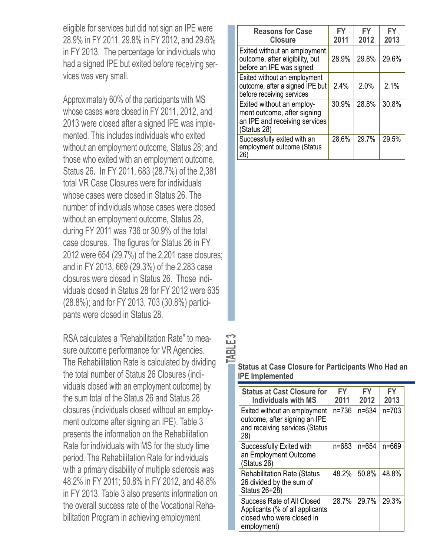eligible for services but did not sign an IPE were 28.9% in FY 2011, 29.8% in FY 2012, and 29.6% in FY 2013. The percentage for individuals who had a signed IPE but exited before receiving services was very small.

Approximately 60% of the participants with MS whose cases were closed in FY 2011, 2012, and 2013 were closed after a signed IPE was implemented. This includes individuals who exited without an employment outcome, Status 28; and those who exited with an employment outcome, Status 26. In FY 2011, 683 (28.7%) of the 2,381 total VR Case Closures were for individuals whose cases were closed in Status 26. The number of individuals whose cases were closed without an employment outcome, Status 28, during FY 2011 was 736 or 30.9% of the total case closures. The figures for Status 26 in FY 2012 were 654 (29.7%) of the 2,201 case closures; and in FY 2013, 669 (29.3%) of the 2,283 case closures were closed in Status 26. Those individuals closed in Status 28 for FY 2012 were 635 (28.8%); and for FY 2013, 703 (30.8%) participants were closed in Status 28.

RSA calculates a "Rehabilitation Rate" to measure outcome performance for VR Agencies. The Rehabilitation Rate is calculated by dividing the total number of Status 26 Closures (individuals closed with an employment outcome) by the sum total of the Status 26 and Status 28 closures (individuals closed without an employment outcome after signing an IPE). Table 3 presents the information on the Rehabilitation Rate for individuals with MS for the study time period. The Rehabilitation Rate for individuals with a primary disability of multiple sclerosis was 48.2% in FY 2011; 50.8% in FY 2012, and 48.8% in FY 2013. Table 3 also presents information on the overall success rate of the Vocational Rehabilitation Program in achieving employment

| <b>Reasons for Case</b><br><b>Closure</b>                                                                | <b>FY</b><br>2011 | FY<br>2012 | FY<br>2013 |
|----------------------------------------------------------------------------------------------------------|-------------------|------------|------------|
| Exited without an employment<br>outcome, after eligibility, but<br>before an IPE was signed              | 28.9%             | 29.8%      | 29.6%      |
| Exited without an employment<br>outcome, after a signed IPE but<br>before receiving services             | 2.4%              | 2.0%       | 2.1%       |
| Exited without an employ-<br>ment outcome, after signing<br>an IPE and receiving services<br>(Status 28) | 30.9%             | 28.8%      | 30.8%      |
| Successfully exited with an<br>employment outcome (Status<br>26)                                         | 28.6%             | 29.7%      | 29.5%      |

#### **Status at Case Closure for Participants Who Had an IPE Implemented**

**TABLE 3** 

| <b>Status at Cast Closure for</b><br><b>Individuals with MS</b>                                           | FY<br>2011 | FY<br>2012 | FY<br>2013 |
|-----------------------------------------------------------------------------------------------------------|------------|------------|------------|
| Exited without an employment<br>outcome, after signing an IPE<br>and receiving services (Status<br>28)    | $n = 736$  | $n = 634$  | $n = 703$  |
| Successfully Exited with<br>an Employment Outcome<br>(Status 26)                                          | n=683      | n=654      | $n = 669$  |
| <b>Rehabilitation Rate (Status</b><br>26 divided by the sum of<br>Status 26+28)                           | 48.2%      | 50.8%      | 48.8%      |
| Success Rate of All Closed<br>Applicants (% of all applicants<br>closed who were closed in<br>employment) | 28.7%      | 29.7%      | 29.3%      |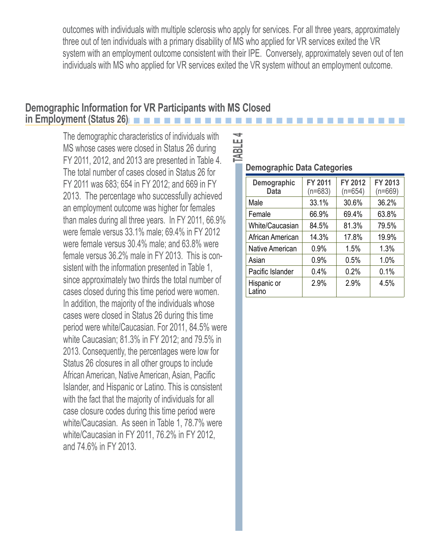outcomes with individuals with multiple sclerosis who apply for services. For all three years, approximately three out of ten individuals with a primary disability of MS who applied for VR services exited the VR system with an employment outcome consistent with their IPE. Conversely, approximately seven out of ten individuals with MS who applied for VR services exited the VR system without an employment outcome.

## **Demographic Information for VR Participants with MS Closed in Employment (Status 26)**

 FY 2011, 2012, and 2013 are presented in Table 4. The demographic characteristics of individuals with MS whose cases were closed in Status 26 during The total number of cases closed in Status 26 for FY 2011 was 683; 654 in FY 2012; and 669 in FY 2013. The percentage who successfully achieved an employment outcome was higher for females than males during all three years. In FY 2011, 66.9% were female versus 33.1% male; 69.4% in FY 2012 were female versus 30.4% male; and 63.8% were female versus 36.2% male in FY 2013. This is consistent with the information presented in Table 1, since approximately two thirds the total number of cases closed during this time period were women. In addition, the majority of the individuals whose cases were closed in Status 26 during this time period were white/Caucasian. For 2011, 84.5% were white Caucasian; 81.3% in FY 2012; and 79.5% in 2013. Consequently, the percentages were low for Status 26 closures in all other groups to include African American, Native American, Asian, Pacific Islander, and Hispanic or Latino. This is consistent with the fact that the majority of individuals for all case closure codes during this time period were white/Caucasian. As seen in Table 1, 78.7% were white/Caucasian in FY 2011, 76.2% in FY 2012, and 74.6% in FY 2013.

## **Demographic Data Categories**

| Demographic<br><b>Data</b> | <b>FY 2011</b><br>$(n=683)$ | FY 2012<br>$(n=654)$ | FY 2013<br>$(n=669)$ |
|----------------------------|-----------------------------|----------------------|----------------------|
| Male                       | 33.1%                       | 30.6%                | 36.2%                |
| Female                     | 66.9%                       | 69.4%                | 63.8%                |
| White/Caucasian            | 84.5%                       | 81.3%                | 79.5%                |
| African American           | 14.3%                       | 17.8%                | 19.9%                |
| <b>Native American</b>     | 0.9%                        | 1.5%                 | 1.3%                 |
| Asian                      | 0.9%                        | 0.5%                 | 1.0%                 |
| Pacific Islander           | 0.4%                        | 0.2%                 | 0.1%                 |
| Hispanic or<br>Latino      | 2.9%                        | 2.9%                 | 4.5%                 |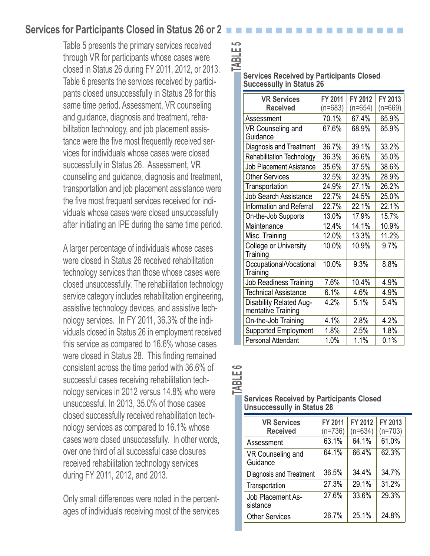# **Services for Participants Closed in Status 26 or 2**

 closed in Status 26 during FY 2011, 2012, or 2013. Table 5 presents the primary services received through VR for participants whose cases were Table 6 presents the services received by participants closed unsuccessfully in Status 28 for this same time period. Assessment, VR counseling and guidance, diagnosis and treatment, rehabilitation technology, and job placement assistance were the five most frequently received services for individuals whose cases were closed successfully in Status 26. Assessment, VR counseling and guidance, diagnosis and treatment, transportation and job placement assistance were the five most frequent services received for individuals whose cases were closed unsuccessfully after initiating an IPE during the same time period.

A larger percentage of individuals whose cases were closed in Status 26 received rehabilitation technology services than those whose cases were closed unsuccessfully. The rehabilitation technology service category includes rehabilitation engineering, assistive technology devices, and assistive technology services. In FY 2011, 36.3% of the individuals closed in Status 26 in employment received this service as compared to 16.6% whose cases were closed in Status 28. This finding remained consistent across the time period with 36.6% of successful cases receiving rehabilitation technology services in 2012 versus 14.8% who were unsuccessful. In 2013, 35.0% of those cases closed successfully received rehabilitation technology services as compared to 16.1% whose cases were closed unsuccessfully. In other words, over one third of all successful case closures received rehabilitation technology services during FY 2011, 2012, and 2013.

Only small differences were noted in the percentages of individuals receiving most of the services

#### **Services Received by Participants Closed Successully in Status 26**

| <b>VR Services</b><br><b>Received</b>         | FY 2011<br>$(n=683)$ | FY 2012<br>$(n=654)$ | FY 2013<br>$(n=669)$ |
|-----------------------------------------------|----------------------|----------------------|----------------------|
| Assessment                                    | 70.1%                | 67.4%                | 65.9%                |
| VR Counseling and<br>Guidance                 | 67.6%                | 68.9%                | 65.9%                |
| Diagnosis and Treatment                       | 36.7%                | 39.1%                | 33.2%                |
| <b>Rehabilitation Technology</b>              | 36.3%                | 36.6%                | 35.0%                |
| <b>Job Placement Asistance</b>                | 35.6%                | 37.5%                | 38.6%                |
| <b>Other Services</b>                         | 32.5%                | 32.3%                | 28.9%                |
| Transportation                                | 24.9%                | 27.1%                | 26.2%                |
| <b>Job Search Assistance</b>                  | 22.7%                | 24.5%                | 25.0%                |
| Information and Referral                      | 22.7%                | 22.1%                | 22.1%                |
| On-the-Job Supports                           | 13.0%                | 17.9%                | 15.7%                |
| Maintenance                                   | 12.4%                | 14.1%                | 10.9%                |
| Misc. Training                                | 12.0%                | 13.3%                | 11.2%                |
| College or University<br>Training             | 10.0%                | 10.9%                | 9.7%                 |
| Occupational/Vocational<br>Training           | 10.0%                | 9.3%                 | 8.8%                 |
| Job Readiness Training                        | 7.6%                 | 10.4%                | 4.9%                 |
| <b>Technical Assistance</b>                   | 6.1%                 | 4.6%                 | 4.9%                 |
| Disability Related Aug-<br>mentative Training | 4.2%                 | 5.1%                 | 5.4%                 |
| On-the-Job Training                           | 4.1%                 | 2.8%                 | 4.2%                 |
| Supported Employment                          | 1.8%                 | 2.5%                 | 1.8%                 |
| <b>Personal Attendant</b>                     | 1.0%                 | 1.1%                 | 0.1%                 |

**TABLE 6** 

#### **Services Received by Participants Closed Unsuccessully in Status 28**

| <b>VR Services</b><br><b>Received</b> | FY 2011<br>$(n=736)$ | FY 2012<br>$(n=634)$ | FY 2013<br>$(n=703)$ |
|---------------------------------------|----------------------|----------------------|----------------------|
| Assessment                            | 63.1%                | 64.1%                | 61.0%                |
| VR Counseling and<br>Guidance         | 64.1%                | 66.4%                | 62.3%                |
| Diagnosis and Treatment               | 36.5%                | 34.4%                | 34.7%                |
| Transportation                        | 27.3%                | 29.1%                | 31.2%                |
| Job Placement As-<br>sistance         | 27.6%                | 33.6%                | 29.3%                |
| <b>Other Services</b>                 | 26.7%                | 25.1%                | 24.8%                |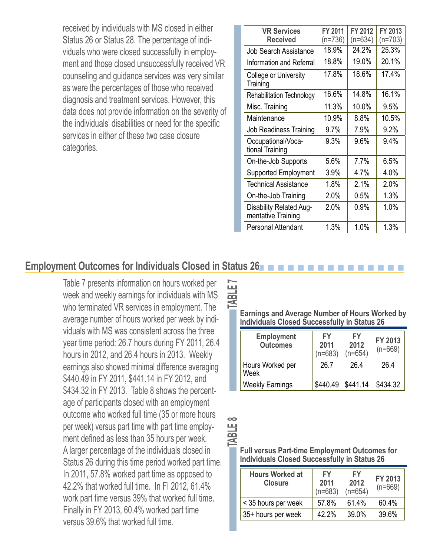received by individuals with MS closed in either Status 26 or Status 28. The percentage of individuals who were closed successfully in employment and those closed unsuccessfully received VR counseling and guidance services was very similar as were the percentages of those who received diagnosis and treatment services. However, this data does not provide information on the severity of the individuals' disabilities or need for the specific services in either of these two case closure categories.

| <b>VR Services</b>                            | FY 2011   | FY 2012   | FY 2013   |
|-----------------------------------------------|-----------|-----------|-----------|
| <b>Received</b>                               | $(n=736)$ | $(n=634)$ | $(n=703)$ |
| <b>Job Search Assistance</b>                  | 18.9%     | 24.2%     | 25.3%     |
| Information and Referral                      | 18.8%     | 19.0%     | 20.1%     |
| College or University<br>Training             | 17.8%     | 18.6%     | 17.4%     |
| <b>Rehabilitation Technology</b>              | 16.6%     | 14.8%     | 16.1%     |
| Misc. Training                                | 11.3%     | 10.0%     | 9.5%      |
| Maintenance                                   | 10.9%     | 8.8%      | 10.5%     |
| <b>Job Readiness Training</b>                 | 9.7%      | 7.9%      | 9.2%      |
| Occupational/Voca-<br>tional Training         | 9.3%      | 9.6%      | 9.4%      |
| On-the-Job Supports                           | 5.6%      | 7.7%      | 6.5%      |
| <b>Supported Employment</b>                   | 3.9%      | 4.7%      | 4.0%      |
| <b>Technical Assistance</b>                   | 1.8%      | 2.1%      | 2.0%      |
| On-the-Job Training                           | 2.0%      | 0.5%      | 1.3%      |
| Disability Related Aug-<br>mentative Training | 2.0%      | $0.9\%$   | 1.0%      |
| Personal Attendant                            | 1.3%      | 1.0%      | 1.3%      |

## **Employment Outcomes for Individuals Closed in Status 26**

Table 7 presents information on hours worked per week and weekly earnings for individuals with MS who terminated VR services in employment. The average number of hours worked per week by individuals with MS was consistent across the three year time period: 26.7 hours during FY 2011, 26.4 hours in 2012, and 26.4 hours in 2013. Weekly earnings also showed minimal difference averaging \$440.49 in FY 2011, \$441.14 in FY 2012, and \$434.32 in FY 2013. Table 8 shows the percentage of participants closed with an employment outcome who worked full time (35 or more hours per week) versus part time with part time employment defined as less than 35 hours per week. A larger percentage of the individuals closed in Status 26 during this time period worked part time. In 2011, 57.8% worked part time as opposed to 42.2% that worked full time. In FI 2012, 61.4% work part time versus 39% that worked full time. Finally in FY 2013, 60.4% worked part time versus 39.6% that worked full time.

**Earnings and Average Number of Hours Worked by Individuals Closed Successfully in Status 26** 

|      | <b>Employment</b><br><b>Outcomes</b> | FY<br>2011<br>$(n=683)$ | FY<br>2012<br>$(n=654)$ | FY 2013<br>$(n=669)$ |
|------|--------------------------------------|-------------------------|-------------------------|----------------------|
| Week | Hours Worked per                     | 26.7                    | 26.4                    | 26.4                 |
|      | <b>Weekly Earnings</b>               | \$440.49                | \$441.14                | \$434.32             |

**TABLE 8 TABLE 7**  TABLE 8

 $\infty$ 

**Full versus Part-time Employment Outcomes for Individuals Closed Successfully in Status 26** 

| <b>Hours Worked at</b><br><b>Closure</b> | <b>FY</b><br>2011<br>$(n=683)$ | <b>FY</b><br>2012<br>$(n=654)$ | FY 2013<br>$(n=669)$ |
|------------------------------------------|--------------------------------|--------------------------------|----------------------|
| < 35 hours per week                      | 57.8%                          | 61.4%                          | 60.4%                |
| 35+ hours per week                       | 42.2%                          | 39.0%                          | 39.6%                |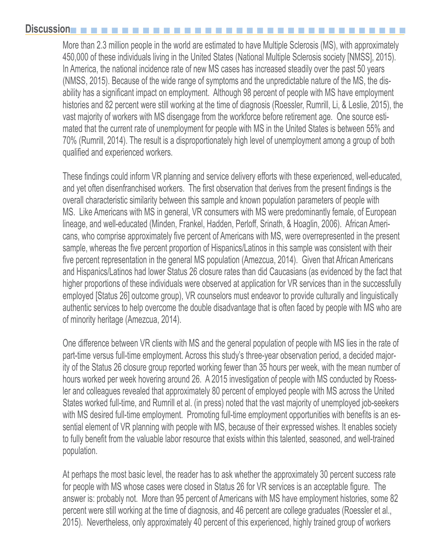## **Discussion**

More than 2.3 million people in the world are estimated to have Multiple Sclerosis (MS), with approximately 450,000 of these individuals living in the United States (National Multiple Sclerosis society [NMSS], 2015). In America, the national incidence rate of new MS cases has increased steadily over the past 50 years (NMSS, 2015). Because of the wide range of symptoms and the unpredictable nature of the MS, the disability has a significant impact on employment. Although 98 percent of people with MS have employment histories and 82 percent were still working at the time of diagnosis (Roessler, Rumrill, Li, & Leslie, 2015), the vast majority of workers with MS disengage from the workforce before retirement age. One source estimated that the current rate of unemployment for people with MS in the United States is between 55% and 70% (Rumrill, 2014). The result is a disproportionately high level of unemployment among a group of both qualified and experienced workers.

These findings could inform VR planning and service delivery efforts with these experienced, well-educated, and yet often disenfranchised workers. The first observation that derives from the present findings is the overall characteristic similarity between this sample and known population parameters of people with MS. Like Americans with MS in general, VR consumers with MS were predominantly female, of European lineage, and well-educated (Minden, Frankel, Hadden, Perloff, Srinath, & Hoaglin, 2006). African Americans, who comprise approximately five percent of Americans with MS, were overrepresented in the present sample, whereas the five percent proportion of Hispanics/Latinos in this sample was consistent with their five percent representation in the general MS population (Amezcua, 2014). Given that African Americans and Hispanics/Latinos had lower Status 26 closure rates than did Caucasians (as evidenced by the fact that higher proportions of these individuals were observed at application for VR services than in the successfully employed [Status 26] outcome group), VR counselors must endeavor to provide culturally and linguistically authentic services to help overcome the double disadvantage that is often faced by people with MS who are of minority heritage (Amezcua, 2014).

One difference between VR clients with MS and the general population of people with MS lies in the rate of part-time versus full-time employment. Across this study's three-year observation period, a decided majority of the Status 26 closure group reported working fewer than 35 hours per week, with the mean number of hours worked per week hovering around 26. A 2015 investigation of people with MS conducted by Roessler and colleagues revealed that approximately 80 percent of employed people with MS across the United States worked full-time, and Rumrill et al. (in press) noted that the vast majority of unemployed job-seekers with MS desired full-time employment. Promoting full-time employment opportunities with benefits is an essential element of VR planning with people with MS, because of their expressed wishes. It enables society to fully benefit from the valuable labor resource that exists within this talented, seasoned, and well-trained population.

At perhaps the most basic level, the reader has to ask whether the approximately 30 percent success rate for people with MS whose cases were closed in Status 26 for VR services is an acceptable figure. The answer is: probably not. More than 95 percent of Americans with MS have employment histories, some 82 percent were still working at the time of diagnosis, and 46 percent are college graduates (Roessler et al., 2015). Nevertheless, only approximately 40 percent of this experienced, highly trained group of workers